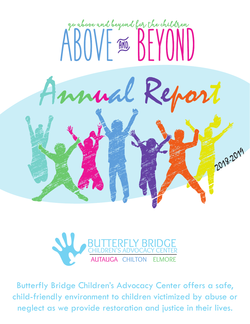



Butterfly Bridge Children's Advocacy Center offers a safe, child-friendly environment to children victimized by abuse or neglect as we provide restoration and justice in their lives.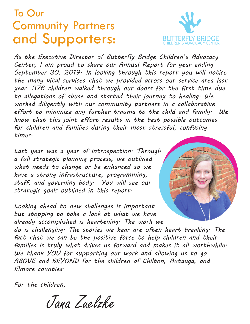### To Our Community Partners and Supporters:



*As the Executive Director of Butterfly Bridge Children's Advocacy Center, I am proud to share our Annual Report for year ending September 30, 2019. In looking through this report you will notice the many vital services that we provided across our service area last year. 376 children walked through our doors for the first time due to allegations of abuse and started their journey to healing. We worked diligently with our community partners in a collaborative effort to minimize any further trauma to the child and family. We know that this joint effort results in the best possible outcomes for children and families during their most stressful, confusing times.*

*Last year was a year of introspection. Through a full strategic planning process, we outlined what needs to change or be enhanced so we have a strong infrastructure, programming, staff, and governing body. You will see our strategic goals outlined in this report.* 

*Looking ahead to new challenges is important but stopping to take a look at what we have already accomplished is heartening. The work we do is challenging. The stories we hear are often heart breaking. The*  fact that we can be the positive force to help children and their *families is truly what drives us forward and makes it all worthwhile. We thank YOU for supporting our work and allowing us to go ABOVE and BEYOND for the children of Chilton, Autauga, and Elmore counties.* 

*For the children,*

Jana Zuelzke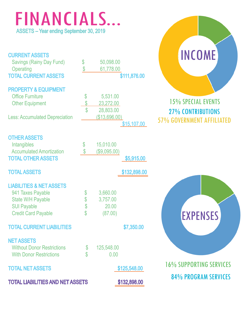### FINANCIALS... ASSETS – Year ending September 30, 2019

| <b>CURRENT ASSETS</b><br><b>Savings (Rainy Day Fund)</b><br><b>Operating</b><br><b>TOTAL CURRENT ASSETS</b>                                                     | \$<br>\$                                    | 50,098.00<br>61,778.00                              | \$111,876.00                 | <b>INCOME</b>                                                                             |
|-----------------------------------------------------------------------------------------------------------------------------------------------------------------|---------------------------------------------|-----------------------------------------------------|------------------------------|-------------------------------------------------------------------------------------------|
| <b>PROPERTY &amp; EQUIPMENT</b><br><b>Office Furniture</b><br><b>Other Equipment</b><br><b>Less: Accumulated Depreciation</b>                                   | \$<br>\$                                    | 5,531.00<br>23,272.00<br>28,803.00<br>(\$13,696.00) | \$15,107.00                  | <b>15% SPECIAL EVENTS</b><br><b>27% CONTRIBUTIONS</b><br><b>57% GOVERNMENT AFFILIATED</b> |
| <b>OTHER ASSETS</b><br>Intangibles<br><b>Accumulated Amortization</b><br><b>TOTAL OTHER ASSETS</b>                                                              | $\boldsymbol{\mathcal{S}}$<br>$\mathcal{S}$ | 15,010.00<br>(\$9,095.00)                           | \$5,915.00                   |                                                                                           |
| <b>TOTAL ASSETS</b><br><b>LIABILITIES &amp; NET ASSETS</b><br>941 Taxes Payable<br><b>State W/H Payable</b><br><b>SUI Payable</b><br><b>Credit Card Payable</b> | \$<br>\$\$<br>\$                            | 3,660.00<br>3,757.00<br>20.00<br>(87.00)            | \$132,898.00                 | <b>EXPENSES</b>                                                                           |
| <b>TOTAL CURRENT LIABILITIES</b><br><b>NET ASSETS</b><br><b>Without Donor Restrictions</b>                                                                      | \$                                          | 125,548.00                                          | \$7,350.00                   |                                                                                           |
| <b>With Donor Restrictions</b><br><b>TOTAL NET ASSETS</b><br><b>TOTAL LIABILITIES AND NET ASSETS</b>                                                            |                                             | 0.00                                                | \$125,548.00<br>\$132,898.00 | <b>16% SUPPORTING SERVICES</b><br><b>84% PROGRAM SERVICES</b>                             |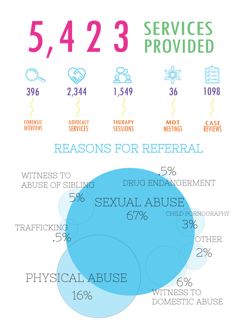

### REASONS FOR REFERRAL

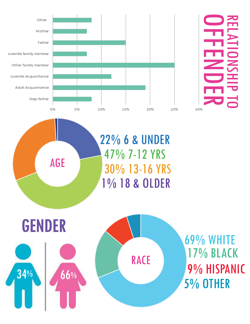



1% 18 & OLDER 22% 6 & UNDER 47% 7-12 YRS 30% 13-16 YRS



AGE

69% WHITE 17% BLACK 9% HISPANIC 5% OTHER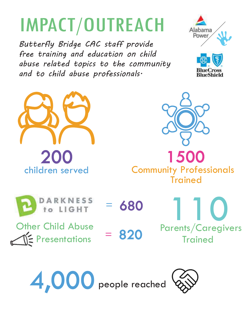## IMPACT/OUTREACH

*Butterfly Bridge CAC staff provide free training and education on child abuse related topics to the community and to child abuse professionals.*











Other Child Abuse  $\leq$  Presentations = 820

= 680





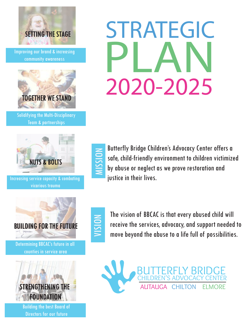

Improving our brand & increasing community awareness



Solidifying the Multi-Disciplinary Team & partnerships



Increasing service capacity & combating vicarious trauma



Determining BBCAC's future in all counties in service area



Building the best Board of Directors for our future

# PLAN STRATEGIC 2020-2025



Butterfly Bridge Children's Advocacy Center offers a<br>safe, child-friendly environment to children victimize<br>by abuse or neglect as we prove restoration and safe, child-friendly environment to children victimized by abuse or neglect as we prove restoration and justice in their lives.



The vision of BBCAC is that every abused child will<br>receive the services, advocacy, and support needed<br>move bevond the abuse to a life full of possibilities receive the services, advocacy, and support needed to move beyond the abuse to a life full of possibilities.

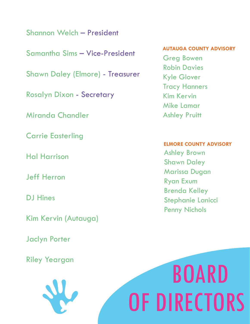Shannon Welch – President

Samantha Sims – Vice-President

Shawn Daley (Elmore) - Treasurer

Rosalyn Dixon - Secretary

Miranda Chandler

Carrie Easterling

Hal Harrison

Jeff Herron

DJ Hines

Kim Kervin (Autauga)

Jaclyn Porter

Riley Yeargan



#### **AUTAUGA COUNTY ADVISORY**

Greg Bowen Robin Davies Kyle Glover Tracy Hanners Kim Kervin Mike Lamar Ashley Pruitt

#### **ELMORE COUNTY ADVISORY**

Ashley Brown Shawn Daley Marissa Dugan Ryan Exum Brenda Kelley Stephanie Lanicci Penny Nichols

# BOARD OF DIRECTORS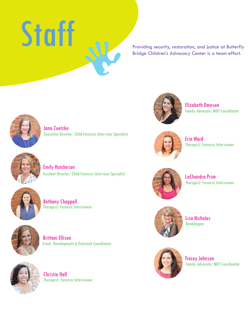

Providing security, restoration, and justice at Butterfly Bridge Children's Advocacy Center is a team effort.



Jana Zuelzke Executive Director/ Child Forensic Interview Specialist



Emily Hutcheson Assitant Director/ Child Forensic Interview Specialist



Bethany Chappell Therapist/ Forensic Interviewer



Brittani Ellison Event, Development & Outreach Coordinator



Christie Hall Therapist/ Forensic Interviewer



Elizabeth Dawson Family Advocate/ MDT Coordinator



Erin Ward Therapist/ Forensic Interviewer



LaChandra Prim Therapist/ Forensic Interviewer



Lisa Nicholas Bookkepper



Tracey Johnson Family Advocate/ MDT Coordinator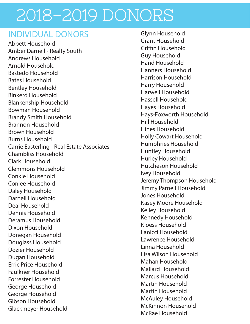#### INDIVIDUAL DONORS Glynn Household

Abbett Household Amber Darnell - Realty South Andrews Household Arnold Household Bastedo Household Bates Household Bentley Household Binkerd Household Blankenship Household Bowman Household Brandy Smith Household Brannon Household Brown Household Burns Household Carrie Easterling - Real Estate Associates Chambliss Household Clark Household Clemmons Household Conkle Household Conlee Household Daley Household Darnell Household Deal Household Dennis Household Deramus Household Dixon Household Donegan Household Douglass Household Dozier Household Dugan Household Erric Price Household Faulkner Household Forrester Household George Household George Household Gibson Household Glackmeyer Household

Grant Household Griffin Household Guy Household Hand Household Hanners Household Harrison Household Harry Household Harwell Household Hassell Household Hayes Household Hays-Foxworth Household Hill Household Hines Household Holly Cowart Household Humphries Household Huntley Household Hurley Household Hutcheson Household Ivey Household Jeremy Thompson Household Jimmy Parnell Household Jones Household Kasey Moore Household Kelley Household Kennedy Household Kloess Household Lanicci Household Lawrence Household Linna Household Lisa Wilson Household Mahan Household Mallard Household Marcus Household Martin Household Martin Household McAuley Household McKinnon Household McRae Household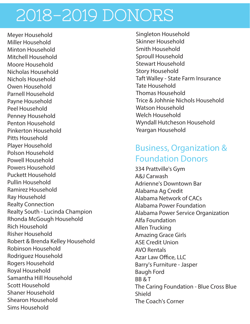Meyer Household Miller Household Minton Household Mitchell Household Moore Household Nicholas Household Nichols Household Owen Household Parnell Household Payne Household Peel Household Penney Household Penton Household Pinkerton Household Pitts Household Player Household Polson Household Powell Household Powers Household Puckett Household Pullin Household Ramirez Household Ray Household Realty Connection Realty South - Lucinda Champion Rhonda McGough Household Rich Household Risher Household Robert & Brenda Kelley Household Robinson Household Rodriguez Household Rogers Household Royal Household Samantha Hill Household Scott Household Shaner Household Shearon Household Sims Household

Singleton Household Skinner Household Smith Household Sproull Household Stewart Household Story Household Taft Walley - State Farm Insurance Tate Household Thomas Household Trice & Johhnie Nichols Household Watson Household Welch Household Wyndall Hutcheson Household Yeargan Household

#### Business, Organization & Foundation Donors

334 Prattville's Gym A&J Carwash Adrienne's Downtown Bar Alabama Ag Credit Alabama Network of CACs Alabama Power Foundation Alabama Power Service Organization Alfa Foundation Allen Trucking Amazing Grace Girls ASE Credit Union AVO Rentals Azar Law Office, LLC Barry's Furniture - Jasper Baugh Ford BB & T The Caring Foundation - Blue Cross Blue Shield The Coach's Corner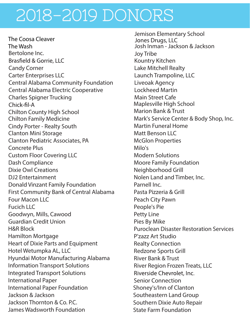The Coosa Cleaver The WashBertolone Inc. **Brasfield & Gorrie, LLC** Candy Corner Carter Enterprises LLC Central Alabama Community Foundation Central Alabama Electric Cooperative Charles Spigner Trucking Chick-fil-A Chilton County High School Chilton Family Medicine Cindy Porter - Realty South Clanton Mini Storage Clanton Pediatric Associates, PA Concrete Plus Custom Floor Covering LLC Dash Compliance Dixie Owl Creations DJ2 Entertainment Donald Vinzant Family Foundation First Community Bank of Central Alabama Four Macon LLC Fucich LLC Goodwyn, Mills, Cawood Guardian Credit Union H&R Block Hamilton Mortgage Heart of Dixie Parts and Equipment Hotel Wetumpka AL, LLC Hyundai Motor Manufacturing Alabama Information Transport Solutions Integrated Transport Solutions International Paper International Paper Foundation Jackson & Jackson Jackson Thornton & Co. P.C. James Wadsworth Foundation

Jemison Elementary School<br>Jones Drugs, LLC Josh Inman - Jackson & Jackson Joy Tribe Kountry Kitchen Lake Mitchell Realty Launch Trampoline, LLC Liveoak Agency Lockheed Martin Main Street Cafe Maplesville High School Marion Bank & Trust Mark's Service Center & Body Shop, Inc. Martin Funeral Home Matt Benson LLC McGlon Properties Milo's Modern Solutions Moore Family Foundation Neighborhood Grill Nolen Land and Timber, Inc. Parnell Inc. Pasta Pizzeria & Grill Peach City Pawn People's Pie Petty Line Pies By Mike Puroclean Disaster Restoration Services P'zazz Art Studio Realty Connection Redzone Sports Grill River Bank & Trust River Region Frozen Treats, LLC Riverside Chevrolet, Inc. Senior Connection Shoney's/Inn of Clanton Southeastern Land Group Southern Dixie Auto Repair State Farm Foundation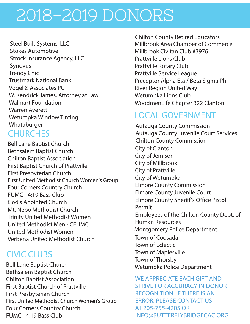Trendy Chic Trustmark National Bank Vogel & Associates PC W. Kendrick James, Attorney at Law Walmart Foundation Warren Averett Wetumpka Window Tinting Whataburger Steel Built Systems, LLC Stokes Automotive Strock Insurance Agency, LLC Synovus

#### **CHURCHES**

Bell Lane Baptist Church Bethsalem Baptist Church Chilton Baptist Association First Baptist Church of Prattville First Presbyterian Church First United Methodist Church Women's Group Four Corners Country Church FUMC - 4:19 Bass Club God's Anointed Church Mt. Nebo Methodist Church Trinity United Methodist Women United Methodist Men - CFUMC United Methodist Women Verbena United Methodist Church

#### CIVIC CLUBS

Bell Lane Baptist Church Bethsalem Baptist Church Chilton Baptist Association First Baptist Church of Prattville First Presbyterian Church First United Methodist Church Women's Group Four Corners Country Church FUMC - 4:19 Bass Club

Millbrook Area Chamber of Commerce Millbrook Civitan Club #3976 Prattville Lions Club Prattville Rotary Club Prattville Service League Preceptor Alpha Eta / Beta Sigma Phi River Region United Way Wetumpka Lions Club WoodmenLife Chapter 322 Clanton Chilton County Retired Educators

#### LOCAL GOVERNMENT

Autauga County Commission Autauga County Juvenile Court Services Chilton County Commission City of Clanton City of Jemison City of Millbrook City of Prattville City of Wetumpka Elmore County Commission Elmore County Juvenile Court **Elmore County Sheriff's Office Pistol** Permit Employees of the Chilton County Dept. of Human Resources Montgomery Police Department Town of Coosada Town of Eclectic Town of Maplesville Town of Thorsby Wetumpka Police Department

WE APPRECIATE EACH GIFT AND STRIVE FOR ACCURACY IN DONOR RECOGNITION. IF THERE IS AN ERROR, PLEASE CONTACT US AT 205-755-4205 OR INFO@BUTTERFLYBRIDGECAC.ORG